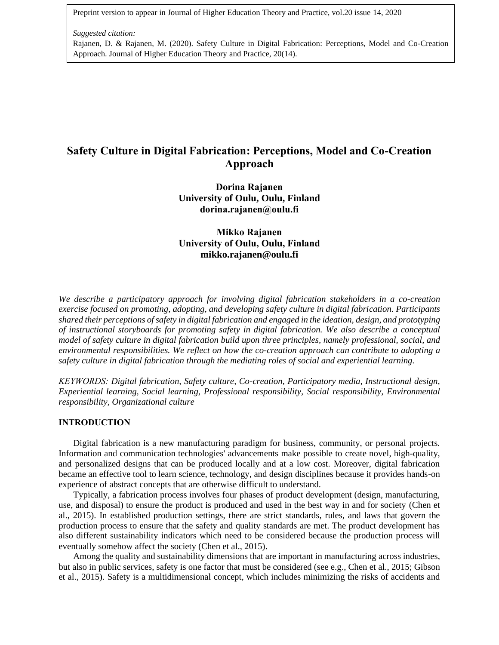Preprint version to appear in Journal of Higher Education Theory and Practice, vol.20 issue 14, 2020

### *Suggested citation:*

Rajanen, D. & Rajanen, M. (2020). Safety Culture in Digital Fabrication: Perceptions, Model and Co-Creation Approach. Journal of Higher Education Theory and Practice, 20(14).

# **Safety Culture in Digital Fabrication: Perceptions, Model and Co-Creation Approach**

**Dorina Rajanen University of Oulu, Oulu, Finland dorina.rajanen@oulu.fi**

**Mikko Rajanen University of Oulu, Oulu, Finland [mikko.rajanen@oulu.fi](mailto:mikko.rajanen@oulu.fi)**

*We describe a participatory approach for involving digital fabrication stakeholders in a co-creation exercise focused on promoting, adopting, and developing safety culture in digital fabrication. Participants shared their perceptions ofsafety in digital fabrication and engaged in the ideation, design, and prototyping of instructional storyboards for promoting safety in digital fabrication. We also describe a conceptual model of safety culture in digital fabrication build upon three principles, namely professional, social, and environmental responsibilities. We reflect on how the co-creation approach can contribute to adopting a safety culture in digital fabrication through the mediating roles of social and experiential learning.*

*KEYWORDS: Digital fabrication, Safety culture, Co-creation, Participatory media, Instructional design, Experiential learning, Social learning, Professional responsibility, Social responsibility, Environmental responsibility, Organizational culture*

# **INTRODUCTION**

Digital fabrication is a new manufacturing paradigm for business, community, or personal projects. Information and communication technologies' advancements make possible to create novel, high-quality, and personalized designs that can be produced locally and at a low cost. Moreover, digital fabrication became an effective tool to learn science, technology, and design disciplines because it provides hands-on experience of abstract concepts that are otherwise difficult to understand.

Typically, a fabrication process involves four phases of product development (design, manufacturing, use, and disposal) to ensure the product is produced and used in the best way in and for society (Chen et al., 2015). In established production settings, there are strict standards, rules, and laws that govern the production process to ensure that the safety and quality standards are met. The product development has also different sustainability indicators which need to be considered because the production process will eventually somehow affect the society (Chen et al., 2015).

Among the quality and sustainability dimensions that are important in manufacturing across industries, but also in public services, safety is one factor that must be considered (see e.g., Chen et al., 2015; Gibson et al., 2015). Safety is a multidimensional concept, which includes minimizing the risks of accidents and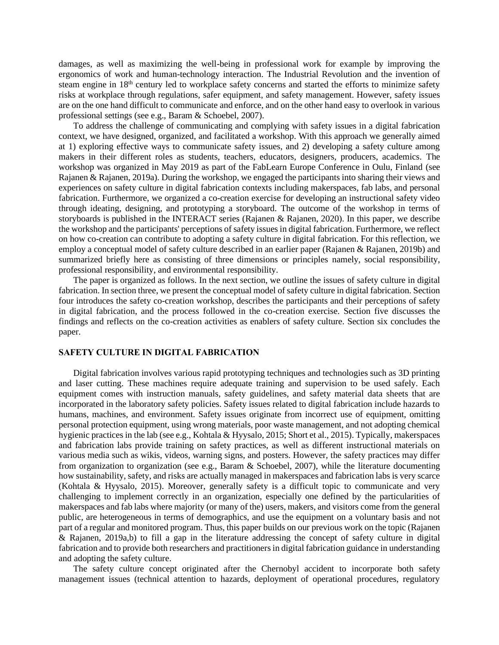damages, as well as maximizing the well-being in professional work for example by improving the ergonomics of work and human-technology interaction. The Industrial Revolution and the invention of steam engine in 18<sup>th</sup> century led to workplace safety concerns and started the efforts to minimize safety risks at workplace through regulations, safer equipment, and safety management. However, safety issues are on the one hand difficult to communicate and enforce, and on the other hand easy to overlook in various professional settings (see e.g., Baram & Schoebel, 2007).

To address the challenge of communicating and complying with safety issues in a digital fabrication context, we have designed, organized, and facilitated a workshop. With this approach we generally aimed at 1) exploring effective ways to communicate safety issues, and 2) developing a safety culture among makers in their different roles as students, teachers, educators, designers, producers, academics. The workshop was organized in May 2019 as part of the FabLearn Europe Conference in Oulu, Finland (see Rajanen & Rajanen, 2019a). During the workshop, we engaged the participants into sharing their views and experiences on safety culture in digital fabrication contexts including makerspaces, fab labs, and personal fabrication. Furthermore, we organized a co-creation exercise for developing an instructional safety video through ideating, designing, and prototyping a storyboard. The outcome of the workshop in terms of storyboards is published in the INTERACT series (Rajanen & Rajanen, 2020). In this paper, we describe the workshop and the participants' perceptions of safety issues in digital fabrication. Furthermore, we reflect on how co-creation can contribute to adopting a safety culture in digital fabrication. For this reflection, we employ a conceptual model of safety culture described in an earlier paper (Rajanen & Rajanen, 2019b) and summarized briefly here as consisting of three dimensions or principles namely, social responsibility, professional responsibility, and environmental responsibility.

The paper is organized as follows. In the next section, we outline the issues of safety culture in digital fabrication. In section three, we present the conceptual model of safety culture in digital fabrication. Section four introduces the safety co-creation workshop, describes the participants and their perceptions of safety in digital fabrication, and the process followed in the co-creation exercise. Section five discusses the findings and reflects on the co-creation activities as enablers of safety culture. Section six concludes the paper.

# **SAFETY CULTURE IN DIGITAL FABRICATION**

Digital fabrication involves various rapid prototyping techniques and technologies such as 3D printing and laser cutting. These machines require adequate training and supervision to be used safely. Each equipment comes with instruction manuals, safety guidelines, and safety material data sheets that are incorporated in the laboratory safety policies. Safety issues related to digital fabrication include hazards to humans, machines, and environment. Safety issues originate from incorrect use of equipment, omitting personal protection equipment, using wrong materials, poor waste management, and not adopting chemical hygienic practices in the lab (see e.g., Kohtala & Hyysalo, 2015; Short et al., 2015). Typically, makerspaces and fabrication labs provide training on safety practices, as well as different instructional materials on various media such as wikis, videos, warning signs, and posters. However, the safety practices may differ from organization to organization (see e.g., Baram & Schoebel, 2007), while the literature documenting how sustainability, safety, and risks are actually managed in makerspaces and fabrication labs is very scarce (Kohtala & Hyysalo, 2015). Moreover, generally safety is a difficult topic to communicate and very challenging to implement correctly in an organization, especially one defined by the particularities of makerspaces and fab labs where majority (or many of the) users, makers, and visitors come from the general public, are heterogeneous in terms of demographics, and use the equipment on a voluntary basis and not part of a regular and monitored program. Thus, this paper builds on our previous work on the topic (Rajanen & Rajanen, 2019a,b) to fill a gap in the literature addressing the concept of safety culture in digital fabrication and to provide both researchers and practitioners in digital fabrication guidance in understanding and adopting the safety culture.

The safety culture concept originated after the Chernobyl accident to incorporate both safety management issues (technical attention to hazards, deployment of operational procedures, regulatory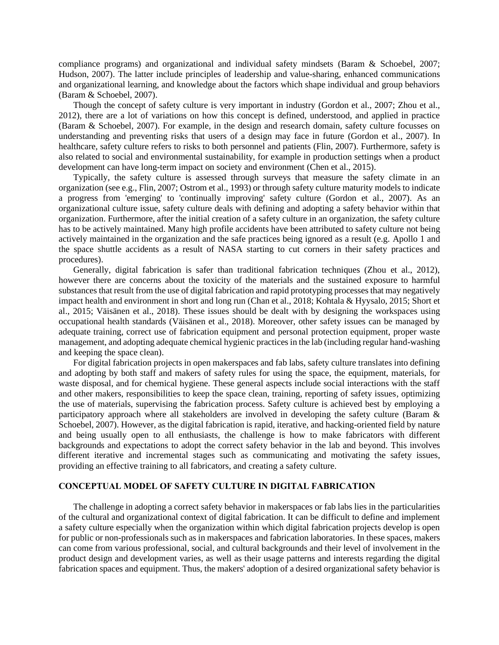compliance programs) and organizational and individual safety mindsets (Baram & Schoebel, 2007; Hudson, 2007). The latter include principles of leadership and value-sharing, enhanced communications and organizational learning, and knowledge about the factors which shape individual and group behaviors (Baram & Schoebel, 2007).

Though the concept of safety culture is very important in industry (Gordon et al., 2007; Zhou et al., 2012), there are a lot of variations on how this concept is defined, understood, and applied in practice (Baram & Schoebel, 2007). For example, in the design and research domain, safety culture focusses on understanding and preventing risks that users of a design may face in future (Gordon et al., 2007). In healthcare, safety culture refers to risks to both personnel and patients (Flin, 2007). Furthermore, safety is also related to social and environmental sustainability, for example in production settings when a product development can have long-term impact on society and environment (Chen et al., 2015).

Typically, the safety culture is assessed through surveys that measure the safety climate in an organization (see e.g., Flin, 2007; Ostrom et al., 1993) or through safety culture maturity models to indicate a progress from 'emerging' to 'continually improving' safety culture (Gordon et al., 2007). As an organizational culture issue, safety culture deals with defining and adopting a safety behavior within that organization. Furthermore, after the initial creation of a safety culture in an organization, the safety culture has to be actively maintained. Many high profile accidents have been attributed to safety culture not being actively maintained in the organization and the safe practices being ignored as a result (e.g. Apollo 1 and the space shuttle accidents as a result of NASA starting to cut corners in their safety practices and procedures).

Generally, digital fabrication is safer than traditional fabrication techniques (Zhou et al., 2012), however there are concerns about the toxicity of the materials and the sustained exposure to harmful substances that result from the use of digital fabrication and rapid prototyping processes that may negatively impact health and environment in short and long run (Chan et al., 2018; Kohtala & Hyysalo, 2015; Short et al., 2015; Väisänen et al., 2018). These issues should be dealt with by designing the workspaces using occupational health standards (Väisänen et al., 2018). Moreover, other safety issues can be managed by adequate training, correct use of fabrication equipment and personal protection equipment, proper waste management, and adopting adequate chemical hygienic practices in the lab (including regular hand-washing and keeping the space clean).

For digital fabrication projects in open makerspaces and fab labs, safety culture translates into defining and adopting by both staff and makers of safety rules for using the space, the equipment, materials, for waste disposal, and for chemical hygiene. These general aspects include social interactions with the staff and other makers, responsibilities to keep the space clean, training, reporting of safety issues, optimizing the use of materials, supervising the fabrication process. Safety culture is achieved best by employing a participatory approach where all stakeholders are involved in developing the safety culture (Baram & Schoebel, 2007). However, as the digital fabrication is rapid, iterative, and hacking-oriented field by nature and being usually open to all enthusiasts, the challenge is how to make fabricators with different backgrounds and expectations to adopt the correct safety behavior in the lab and beyond. This involves different iterative and incremental stages such as communicating and motivating the safety issues, providing an effective training to all fabricators, and creating a safety culture.

# **CONCEPTUAL MODEL OF SAFETY CULTURE IN DIGITAL FABRICATION**

The challenge in adopting a correct safety behavior in makerspaces or fab labs lies in the particularities of the cultural and organizational context of digital fabrication. It can be difficult to define and implement a safety culture especially when the organization within which digital fabrication projects develop is open for public or non-professionals such as in makerspaces and fabrication laboratories. In these spaces, makers can come from various professional, social, and cultural backgrounds and their level of involvement in the product design and development varies, as well as their usage patterns and interests regarding the digital fabrication spaces and equipment. Thus, the makers' adoption of a desired organizational safety behavior is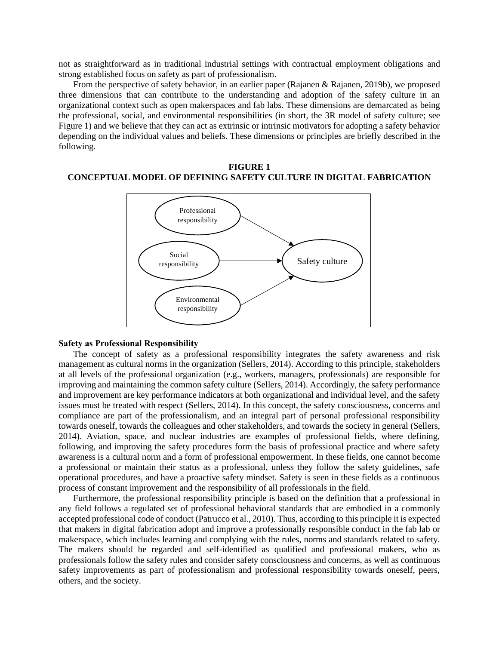not as straightforward as in traditional industrial settings with contractual employment obligations and strong established focus on safety as part of professionalism.

From the perspective of safety behavior, in an earlier paper (Rajanen & Rajanen, 2019b), we proposed three dimensions that can contribute to the understanding and adoption of the safety culture in an organizational context such as open makerspaces and fab labs. These dimensions are demarcated as being the professional, social, and environmental responsibilities (in short, the 3R model of safety culture; see Figure 1) and we believe that they can act as extrinsic or intrinsic motivators for adopting a safety behavior depending on the individual values and beliefs. These dimensions or principles are briefly described in the following.

# **FIGURE 1 CONCEPTUAL MODEL OF DEFINING SAFETY CULTURE IN DIGITAL FABRICATION**



## **Safety as Professional Responsibility**

The concept of safety as a professional responsibility integrates the safety awareness and risk management as cultural norms in the organization (Sellers, 2014). According to this principle, stakeholders at all levels of the professional organization (e.g., workers, managers, professionals) are responsible for improving and maintaining the common safety culture (Sellers, 2014). Accordingly, the safety performance and improvement are key performance indicators at both organizational and individual level, and the safety issues must be treated with respect (Sellers, 2014). In this concept, the safety consciousness, concerns and compliance are part of the professionalism, and an integral part of personal professional responsibility towards oneself, towards the colleagues and other stakeholders, and towards the society in general (Sellers, 2014). Aviation, space, and nuclear industries are examples of professional fields, where defining, following, and improving the safety procedures form the basis of professional practice and where safety awareness is a cultural norm and a form of professional empowerment. In these fields, one cannot become a professional or maintain their status as a professional, unless they follow the safety guidelines, safe operational procedures, and have a proactive safety mindset. Safety is seen in these fields as a continuous process of constant improvement and the responsibility of all professionals in the field.

Furthermore, the professional responsibility principle is based on the definition that a professional in any field follows a regulated set of professional behavioral standards that are embodied in a commonly accepted professional code of conduct (Patrucco et al., 2010). Thus, according to this principle it is expected that makers in digital fabrication adopt and improve a professionally responsible conduct in the fab lab or makerspace, which includes learning and complying with the rules, norms and standards related to safety. The makers should be regarded and self-identified as qualified and professional makers, who as professionals follow the safety rules and consider safety consciousness and concerns, as well as continuous safety improvements as part of professionalism and professional responsibility towards oneself, peers, others, and the society.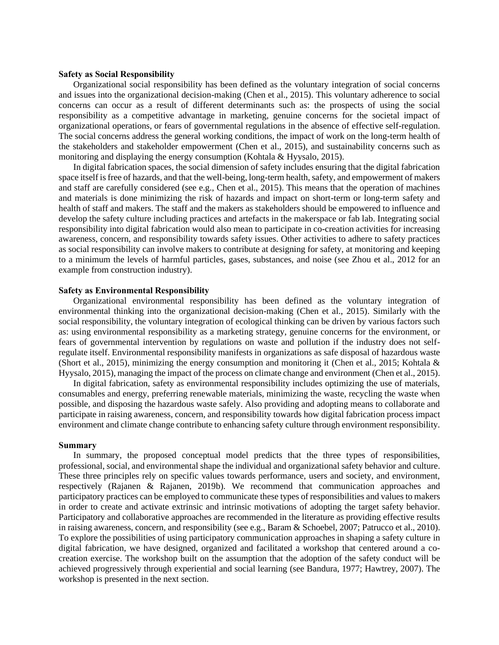### **Safety as Social Responsibility**

Organizational social responsibility has been defined as the voluntary integration of social concerns and issues into the organizational decision-making (Chen et al., 2015). This voluntary adherence to social concerns can occur as a result of different determinants such as: the prospects of using the social responsibility as a competitive advantage in marketing, genuine concerns for the societal impact of organizational operations, or fears of governmental regulations in the absence of effective self-regulation. The social concerns address the general working conditions, the impact of work on the long-term health of the stakeholders and stakeholder empowerment (Chen et al., 2015), and sustainability concerns such as monitoring and displaying the energy consumption (Kohtala & Hyysalo, 2015).

In digital fabrication spaces, the social dimension of safety includes ensuring that the digital fabrication space itself is free of hazards, and that the well-being, long-term health, safety, and empowerment of makers and staff are carefully considered (see e.g., Chen et al., 2015). This means that the operation of machines and materials is done minimizing the risk of hazards and impact on short-term or long-term safety and health of staff and makers. The staff and the makers as stakeholders should be empowered to influence and develop the safety culture including practices and artefacts in the makerspace or fab lab. Integrating social responsibility into digital fabrication would also mean to participate in co-creation activities for increasing awareness, concern, and responsibility towards safety issues. Other activities to adhere to safety practices as social responsibility can involve makers to contribute at designing for safety, at monitoring and keeping to a minimum the levels of harmful particles, gases, substances, and noise (see Zhou et al., 2012 for an example from construction industry).

### **Safety as Environmental Responsibility**

Organizational environmental responsibility has been defined as the voluntary integration of environmental thinking into the organizational decision-making (Chen et al., 2015). Similarly with the social responsibility, the voluntary integration of ecological thinking can be driven by various factors such as: using environmental responsibility as a marketing strategy, genuine concerns for the environment, or fears of governmental intervention by regulations on waste and pollution if the industry does not selfregulate itself. Environmental responsibility manifests in organizations as safe disposal of hazardous waste (Short et al., 2015), minimizing the energy consumption and monitoring it (Chen et al., 2015; Kohtala  $\&$ Hyysalo, 2015), managing the impact of the process on climate change and environment (Chen et al., 2015).

In digital fabrication, safety as environmental responsibility includes optimizing the use of materials, consumables and energy, preferring renewable materials, minimizing the waste, recycling the waste when possible, and disposing the hazardous waste safely. Also providing and adopting means to collaborate and participate in raising awareness, concern, and responsibility towards how digital fabrication process impact environment and climate change contribute to enhancing safety culture through environment responsibility.

#### **Summary**

In summary, the proposed conceptual model predicts that the three types of responsibilities, professional, social, and environmental shape the individual and organizational safety behavior and culture. These three principles rely on specific values towards performance, users and society, and environment, respectively (Rajanen & Rajanen, 2019b). We recommend that communication approaches and participatory practices can be employed to communicate these types of responsibilities and values to makers in order to create and activate extrinsic and intrinsic motivations of adopting the target safety behavior. Participatory and collaborative approaches are recommended in the literature as providing effective results in raising awareness, concern, and responsibility (see e.g., Baram & Schoebel, 2007; Patrucco et al., 2010). To explore the possibilities of using participatory communication approaches in shaping a safety culture in digital fabrication, we have designed, organized and facilitated a workshop that centered around a cocreation exercise. The workshop built on the assumption that the adoption of the safety conduct will be achieved progressively through experiential and social learning (see Bandura, 1977; Hawtrey, 2007). The workshop is presented in the next section.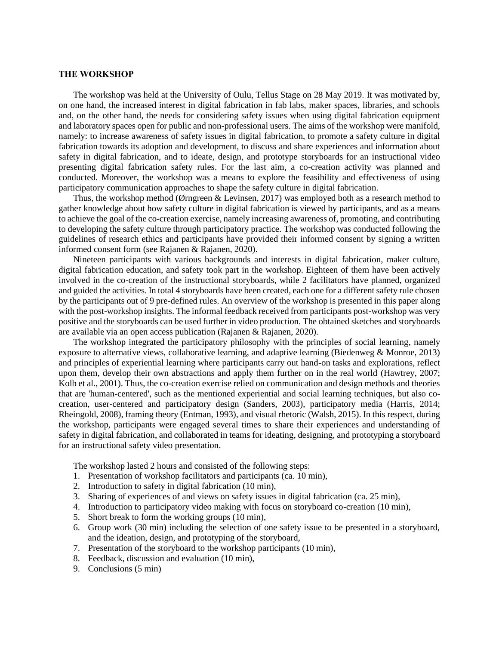# **THE WORKSHOP**

The workshop was held at the University of Oulu, Tellus Stage on 28 May 2019. It was motivated by, on one hand, the increased interest in digital fabrication in fab labs, maker spaces, libraries, and schools and, on the other hand, the needs for considering safety issues when using digital fabrication equipment and laboratory spaces open for public and non-professional users. The aims of the workshop were manifold, namely: to increase awareness of safety issues in digital fabrication, to promote a safety culture in digital fabrication towards its adoption and development, to discuss and share experiences and information about safety in digital fabrication, and to ideate, design, and prototype storyboards for an instructional video presenting digital fabrication safety rules. For the last aim, a co-creation activity was planned and conducted. Moreover, the workshop was a means to explore the feasibility and effectiveness of using participatory communication approaches to shape the safety culture in digital fabrication.

Thus, the workshop method (Ørngreen & Levinsen, 2017) was employed both as a research method to gather knowledge about how safety culture in digital fabrication is viewed by participants, and as a means to achieve the goal of the co-creation exercise, namely increasing awareness of, promoting, and contributing to developing the safety culture through participatory practice. The workshop was conducted following the guidelines of research ethics and participants have provided their informed consent by signing a written informed consent form (see Rajanen & Rajanen, 2020).

Nineteen participants with various backgrounds and interests in digital fabrication, maker culture, digital fabrication education, and safety took part in the workshop. Eighteen of them have been actively involved in the co-creation of the instructional storyboards, while 2 facilitators have planned, organized and guided the activities. In total 4 storyboards have been created, each one for a different safety rule chosen by the participants out of 9 pre-defined rules. An overview of the workshop is presented in this paper along with the post-workshop insights. The informal feedback received from participants post-workshop was very positive and the storyboards can be used further in video production. The obtained sketches and storyboards are available via an open access publication (Rajanen & Rajanen, 2020).

The workshop integrated the participatory philosophy with the principles of social learning, namely exposure to alternative views, collaborative learning, and adaptive learning (Biedenweg & Monroe, 2013) and principles of experiential learning where participants carry out hand-on tasks and explorations, reflect upon them, develop their own abstractions and apply them further on in the real world (Hawtrey, 2007; Kolb et al., 2001). Thus, the co-creation exercise relied on communication and design methods and theories that are 'human-centered', such as the mentioned experiential and social learning techniques, but also cocreation, user-centered and participatory design (Sanders, 2003), participatory media (Harris, 2014; Rheingold, 2008), framing theory (Entman, 1993), and visual rhetoric (Walsh, 2015). In this respect, during the workshop, participants were engaged several times to share their experiences and understanding of safety in digital fabrication, and collaborated in teams for ideating, designing, and prototyping a storyboard for an instructional safety video presentation.

The workshop lasted 2 hours and consisted of the following steps:

- 1. Presentation of workshop facilitators and participants (ca. 10 min),
- 2. Introduction to safety in digital fabrication (10 min),
- 3. Sharing of experiences of and views on safety issues in digital fabrication (ca. 25 min),
- 4. Introduction to participatory video making with focus on storyboard co-creation (10 min),
- 5. Short break to form the working groups (10 min),
- 6. Group work (30 min) including the selection of one safety issue to be presented in a storyboard, and the ideation, design, and prototyping of the storyboard,
- 7. Presentation of the storyboard to the workshop participants (10 min),
- 8. Feedback, discussion and evaluation (10 min),
- 9. Conclusions (5 min)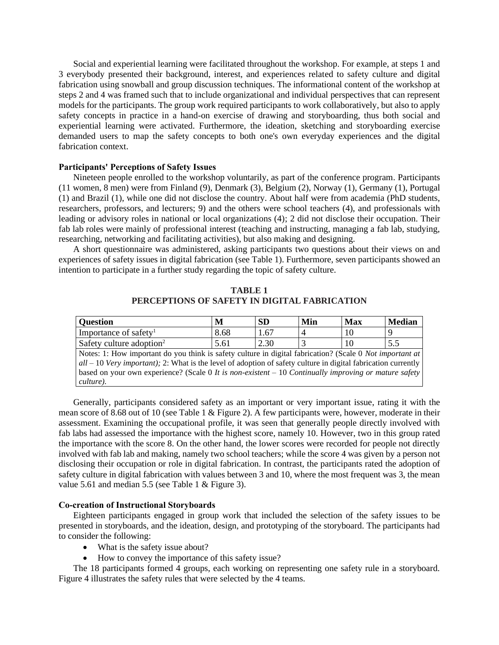Social and experiential learning were facilitated throughout the workshop. For example, at steps 1 and 3 everybody presented their background, interest, and experiences related to safety culture and digital fabrication using snowball and group discussion techniques. The informational content of the workshop at steps 2 and 4 was framed such that to include organizational and individual perspectives that can represent models for the participants. The group work required participants to work collaboratively, but also to apply safety concepts in practice in a hand-on exercise of drawing and storyboarding, thus both social and experiential learning were activated. Furthermore, the ideation, sketching and storyboarding exercise demanded users to map the safety concepts to both one's own everyday experiences and the digital fabrication context.

# **Participants' Perceptions of Safety Issues**

Nineteen people enrolled to the workshop voluntarily, as part of the conference program. Participants (11 women, 8 men) were from Finland (9), Denmark (3), Belgium (2), Norway (1), Germany (1), Portugal (1) and Brazil (1), while one did not disclose the country. About half were from academia (PhD students, researchers, professors, and lecturers; 9) and the others were school teachers (4), and professionals with leading or advisory roles in national or local organizations (4); 2 did not disclose their occupation. Their fab lab roles were mainly of professional interest (teaching and instructing, managing a fab lab, studying, researching, networking and facilitating activities), but also making and designing.

A short questionnaire was administered, asking participants two questions about their views on and experiences of safety issues in digital fabrication (see Table 1). Furthermore, seven participants showed an intention to participate in a further study regarding the topic of safety culture.

| Ouestion                                                                                                        | M    | <b>SD</b> | Min | Max | <b>Median</b> |
|-----------------------------------------------------------------------------------------------------------------|------|-----------|-----|-----|---------------|
| Importance of safety <sup>1</sup>                                                                               | 8.68 | 1.67      |     | 10  |               |
| Safety culture adoption <sup>2</sup>                                                                            | 5.61 | 2.30      |     | 10  | 5.5           |
| Notes: 1: How important do you think is safety culture in digital fabrication? (Scale 0 Not important at        |      |           |     |     |               |
| $all - 10$ Very important); 2: What is the level of adoption of safety culture in digital fabrication currently |      |           |     |     |               |
| based on your own experience? (Scale 0 It is non-existent $-10$ Continually improving or mature safety          |      |           |     |     |               |
| culture).                                                                                                       |      |           |     |     |               |

**TABLE 1 PERCEPTIONS OF SAFETY IN DIGITAL FABRICATION**

Generally, participants considered safety as an important or very important issue, rating it with the mean score of 8.68 out of 10 (see Table 1 & Figure 2). A few participants were, however, moderate in their assessment. Examining the occupational profile, it was seen that generally people directly involved with fab labs had assessed the importance with the highest score, namely 10. However, two in this group rated the importance with the score 8. On the other hand, the lower scores were recorded for people not directly involved with fab lab and making, namely two school teachers; while the score 4 was given by a person not disclosing their occupation or role in digital fabrication. In contrast, the participants rated the adoption of safety culture in digital fabrication with values between 3 and 10, where the most frequent was 3, the mean value 5.61 and median 5.5 (see Table 1 & Figure 3).

### **Co-creation of Instructional Storyboards**

Eighteen participants engaged in group work that included the selection of the safety issues to be presented in storyboards, and the ideation, design, and prototyping of the storyboard. The participants had to consider the following:

- What is the safety issue about?
- How to convey the importance of this safety issue?

The 18 participants formed 4 groups, each working on representing one safety rule in a storyboard. Figure 4 illustrates the safety rules that were selected by the 4 teams.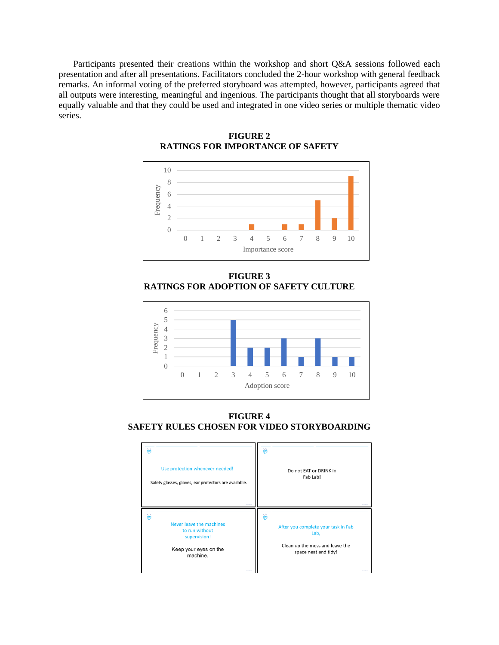Participants presented their creations within the workshop and short Q&A sessions followed each presentation and after all presentations. Facilitators concluded the 2-hour workshop with general feedback remarks. An informal voting of the preferred storyboard was attempted, however, participants agreed that all outputs were interesting, meaningful and ingenious. The participants thought that all storyboards were equally valuable and that they could be used and integrated in one video series or multiple thematic video series.



**FIGURE 2 RATINGS FOR IMPORTANCE OF SAFETY**

**FIGURE 3 RATINGS FOR ADOPTION OF SAFETY CULTURE**



**FIGURE 4 SAFETY RULES CHOSEN FOR VIDEO STORYBOARDING**

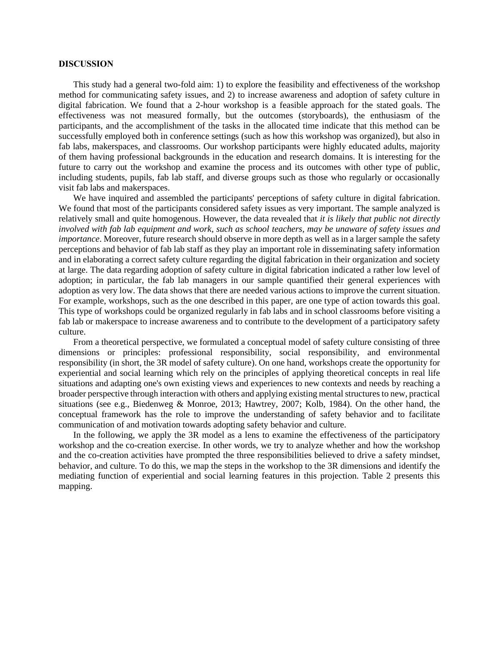# **DISCUSSION**

This study had a general two-fold aim: 1) to explore the feasibility and effectiveness of the workshop method for communicating safety issues, and 2) to increase awareness and adoption of safety culture in digital fabrication. We found that a 2-hour workshop is a feasible approach for the stated goals. The effectiveness was not measured formally, but the outcomes (storyboards), the enthusiasm of the participants, and the accomplishment of the tasks in the allocated time indicate that this method can be successfully employed both in conference settings (such as how this workshop was organized), but also in fab labs, makerspaces, and classrooms. Our workshop participants were highly educated adults, majority of them having professional backgrounds in the education and research domains. It is interesting for the future to carry out the workshop and examine the process and its outcomes with other type of public, including students, pupils, fab lab staff, and diverse groups such as those who regularly or occasionally visit fab labs and makerspaces.

We have inquired and assembled the participants' perceptions of safety culture in digital fabrication. We found that most of the participants considered safety issues as very important. The sample analyzed is relatively small and quite homogenous. However, the data revealed that *it is likely that public not directly involved with fab lab equipment and work, such as school teachers, may be unaware of safety issues and importance*. Moreover, future research should observe in more depth as well as in a larger sample the safety perceptions and behavior of fab lab staff as they play an important role in disseminating safety information and in elaborating a correct safety culture regarding the digital fabrication in their organization and society at large. The data regarding adoption of safety culture in digital fabrication indicated a rather low level of adoption; in particular, the fab lab managers in our sample quantified their general experiences with adoption as very low. The data shows that there are needed various actions to improve the current situation. For example, workshops, such as the one described in this paper, are one type of action towards this goal. This type of workshops could be organized regularly in fab labs and in school classrooms before visiting a fab lab or makerspace to increase awareness and to contribute to the development of a participatory safety culture.

From a theoretical perspective, we formulated a conceptual model of safety culture consisting of three dimensions or principles: professional responsibility, social responsibility, and environmental responsibility (in short, the 3R model of safety culture). On one hand, workshops create the opportunity for experiential and social learning which rely on the principles of applying theoretical concepts in real life situations and adapting one's own existing views and experiences to new contexts and needs by reaching a broader perspective through interaction with others and applying existing mental structures to new, practical situations (see e.g., Biedenweg & Monroe, 2013; Hawtrey, 2007; Kolb, 1984). On the other hand, the conceptual framework has the role to improve the understanding of safety behavior and to facilitate communication of and motivation towards adopting safety behavior and culture.

In the following, we apply the 3R model as a lens to examine the effectiveness of the participatory workshop and the co-creation exercise. In other words, we try to analyze whether and how the workshop and the co-creation activities have prompted the three responsibilities believed to drive a safety mindset, behavior, and culture. To do this, we map the steps in the workshop to the 3R dimensions and identify the mediating function of experiential and social learning features in this projection. Table 2 presents this mapping.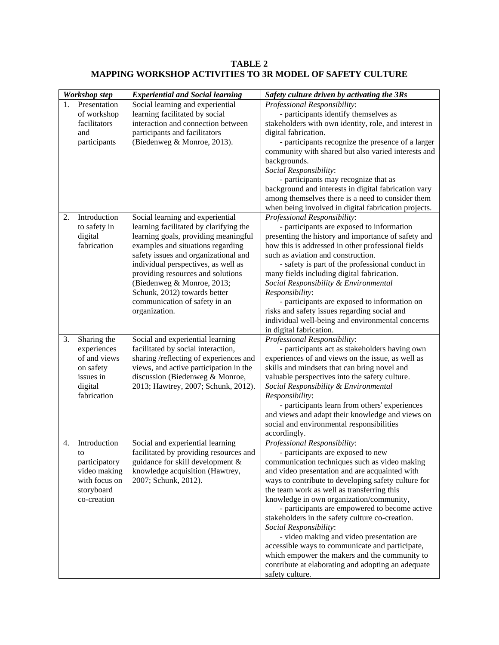| TABLE 2                                                          |  |
|------------------------------------------------------------------|--|
| <b>MAPPING WORKSHOP ACTIVITIES TO 3R MODEL OF SAFETY CULTURE</b> |  |

| Workshop step<br><b>Experiential and Social learning</b> |                                                                                                   |                                                                                                                                                                                                                                                                                                                                                                                             | Safety culture driven by activating the 3Rs                                                                                                                                                                                                                                                                                                                                                                                                                                                                                                                                                                                                                                   |  |  |
|----------------------------------------------------------|---------------------------------------------------------------------------------------------------|---------------------------------------------------------------------------------------------------------------------------------------------------------------------------------------------------------------------------------------------------------------------------------------------------------------------------------------------------------------------------------------------|-------------------------------------------------------------------------------------------------------------------------------------------------------------------------------------------------------------------------------------------------------------------------------------------------------------------------------------------------------------------------------------------------------------------------------------------------------------------------------------------------------------------------------------------------------------------------------------------------------------------------------------------------------------------------------|--|--|
| 1.                                                       | Presentation<br>of workshop<br>facilitators<br>and<br>participants                                | Social learning and experiential<br>learning facilitated by social<br>interaction and connection between<br>participants and facilitators<br>(Biedenweg & Monroe, 2013).                                                                                                                                                                                                                    | Professional Responsibility:<br>- participants identify themselves as<br>stakeholders with own identity, role, and interest in<br>digital fabrication.<br>- participants recognize the presence of a larger<br>community with shared but also varied interests and<br>backgrounds.<br>Social Responsibility:<br>- participants may recognize that as<br>background and interests in digital fabrication vary<br>among themselves there is a need to consider them<br>when being involved in digital fabrication projects.                                                                                                                                                     |  |  |
| 2.                                                       | Introduction<br>to safety in<br>digital<br>fabrication                                            | Social learning and experiential<br>learning facilitated by clarifying the<br>learning goals, providing meaningful<br>examples and situations regarding<br>safety issues and organizational and<br>individual perspectives, as well as<br>providing resources and solutions<br>(Biedenweg & Monroe, 2013;<br>Schunk, 2012) towards better<br>communication of safety in an<br>organization. | Professional Responsibility:<br>- participants are exposed to information<br>presenting the history and importance of safety and<br>how this is addressed in other professional fields<br>such as aviation and construction.<br>- safety is part of the professional conduct in<br>many fields including digital fabrication.<br>Social Responsibility & Environmental<br>Responsibility:<br>- participants are exposed to information on<br>risks and safety issues regarding social and<br>individual well-being and environmental concerns<br>in digital fabrication.                                                                                                      |  |  |
| 3.                                                       | Sharing the<br>experiences<br>of and views<br>on safety<br>issues in<br>digital<br>fabrication    | Social and experiential learning<br>facilitated by social interaction,<br>sharing /reflecting of experiences and<br>views, and active participation in the<br>discussion (Biedenweg & Monroe,<br>2013; Hawtrey, 2007; Schunk, 2012).                                                                                                                                                        | Professional Responsibility:<br>- participants act as stakeholders having own<br>experiences of and views on the issue, as well as<br>skills and mindsets that can bring novel and<br>valuable perspectives into the safety culture.<br>Social Responsibility & Environmental<br>Responsibility:<br>- participants learn from others' experiences<br>and views and adapt their knowledge and views on<br>social and environmental responsibilities<br>accordingly.                                                                                                                                                                                                            |  |  |
| 4.                                                       | Introduction<br>to<br>participatory<br>video making<br>with focus on<br>storyboard<br>co-creation | Social and experiential learning<br>facilitated by providing resources and<br>guidance for skill development &<br>knowledge acquisition (Hawtrey,<br>2007; Schunk, 2012).                                                                                                                                                                                                                   | Professional Responsibility:<br>- participants are exposed to new<br>communication techniques such as video making<br>and video presentation and are acquainted with<br>ways to contribute to developing safety culture for<br>the team work as well as transferring this<br>knowledge in own organization/community,<br>- participants are empowered to become active<br>stakeholders in the safety culture co-creation.<br>Social Responsibility:<br>- video making and video presentation are<br>accessible ways to communicate and participate,<br>which empower the makers and the community to<br>contribute at elaborating and adopting an adequate<br>safety culture. |  |  |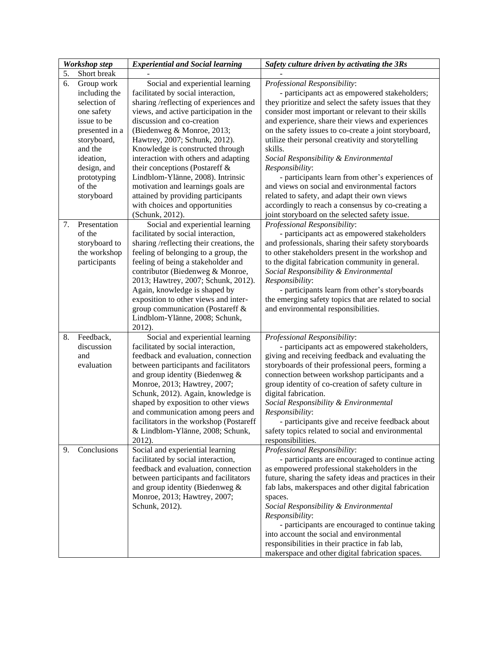|    | <b>Workshop step</b>                                                    | <b>Experiential and Social learning</b>                                                                                                                                                                                                                                                                                                                                                                                              | Safety culture driven by activating the 3Rs                                                                                                                                                                                                                                                                                                                                                                                                                                                                                       |
|----|-------------------------------------------------------------------------|--------------------------------------------------------------------------------------------------------------------------------------------------------------------------------------------------------------------------------------------------------------------------------------------------------------------------------------------------------------------------------------------------------------------------------------|-----------------------------------------------------------------------------------------------------------------------------------------------------------------------------------------------------------------------------------------------------------------------------------------------------------------------------------------------------------------------------------------------------------------------------------------------------------------------------------------------------------------------------------|
| 5. | Short break                                                             |                                                                                                                                                                                                                                                                                                                                                                                                                                      |                                                                                                                                                                                                                                                                                                                                                                                                                                                                                                                                   |
| 6. | Group work<br>including the<br>selection of                             | Social and experiential learning<br>facilitated by social interaction,<br>sharing /reflecting of experiences and                                                                                                                                                                                                                                                                                                                     | Professional Responsibility:<br>- participants act as empowered stakeholders;<br>they prioritize and select the safety issues that they                                                                                                                                                                                                                                                                                                                                                                                           |
|    | one safety<br>issue to be<br>presented in a<br>storyboard,<br>and the   | views, and active participation in the<br>discussion and co-creation<br>(Biedenweg & Monroe, 2013;<br>Hawtrey, 2007; Schunk, 2012).<br>Knowledge is constructed through                                                                                                                                                                                                                                                              | consider most important or relevant to their skills<br>and experience, share their views and experiences<br>on the safety issues to co-create a joint storyboard,<br>utilize their personal creativity and storytelling<br>skills.                                                                                                                                                                                                                                                                                                |
|    | ideation,<br>design, and<br>prototyping<br>of the<br>storyboard         | interaction with others and adapting<br>their conceptions (Postareff &<br>Lindblom-Ylänne, 2008). Intrinsic<br>motivation and learnings goals are<br>attained by providing participants<br>with choices and opportunities<br>(Schunk, 2012).                                                                                                                                                                                         | Social Responsibility & Environmental<br>Responsibility:<br>- participants learn from other's experiences of<br>and views on social and environmental factors<br>related to safety, and adapt their own views<br>accordingly to reach a consensus by co-creating a<br>joint storyboard on the selected safety issue.                                                                                                                                                                                                              |
| 7. | Presentation<br>of the<br>storyboard to<br>the workshop<br>participants | Social and experiential learning<br>facilitated by social interaction,<br>sharing /reflecting their creations, the<br>feeling of belonging to a group, the<br>feeling of being a stakeholder and<br>contributor (Biedenweg & Monroe,<br>2013; Hawtrey, 2007; Schunk, 2012).<br>Again, knowledge is shaped by<br>exposition to other views and inter-<br>group communication (Postareff &<br>Lindblom-Ylänne, 2008; Schunk,<br>2012). | Professional Responsibility:<br>- participants act as empowered stakeholders<br>and professionals, sharing their safety storyboards<br>to other stakeholders present in the workshop and<br>to the digital fabrication community in general.<br>Social Responsibility & Environmental<br>Responsibility:<br>- participants learn from other's storyboards<br>the emerging safety topics that are related to social<br>and environmental responsibilities.                                                                         |
| 8. | Feedback,<br>discussion<br>and<br>evaluation                            | Social and experiential learning<br>facilitated by social interaction,<br>feedback and evaluation, connection<br>between participants and facilitators<br>and group identity (Biedenweg &<br>Monroe, 2013; Hawtrey, 2007;<br>Schunk, 2012). Again, knowledge is<br>shaped by exposition to other views<br>and communication among peers and<br>facilitators in the workshop (Postareff<br>& Lindblom-Ylänne, 2008; Schunk,<br>2012). | Professional Responsibility:<br>- participants act as empowered stakeholders,<br>giving and receiving feedback and evaluating the<br>storyboards of their professional peers, forming a<br>connection between workshop participants and a<br>group identity of co-creation of safety culture in<br>digital fabrication.<br>Social Responsibility & Environmental<br>Responsibility:<br>- participants give and receive feedback about<br>safety topics related to social and environmental<br>responsibilities.                   |
| 9. | Conclusions                                                             | Social and experiential learning<br>facilitated by social interaction,<br>feedback and evaluation, connection<br>between participants and facilitators<br>and group identity (Biedenweg &<br>Monroe, 2013; Hawtrey, 2007;<br>Schunk, 2012).                                                                                                                                                                                          | Professional Responsibility:<br>- participants are encouraged to continue acting<br>as empowered professional stakeholders in the<br>future, sharing the safety ideas and practices in their<br>fab labs, makerspaces and other digital fabrication<br>spaces.<br>Social Responsibility & Environmental<br>Responsibility:<br>- participants are encouraged to continue taking<br>into account the social and environmental<br>responsibilities in their practice in fab lab,<br>makerspace and other digital fabrication spaces. |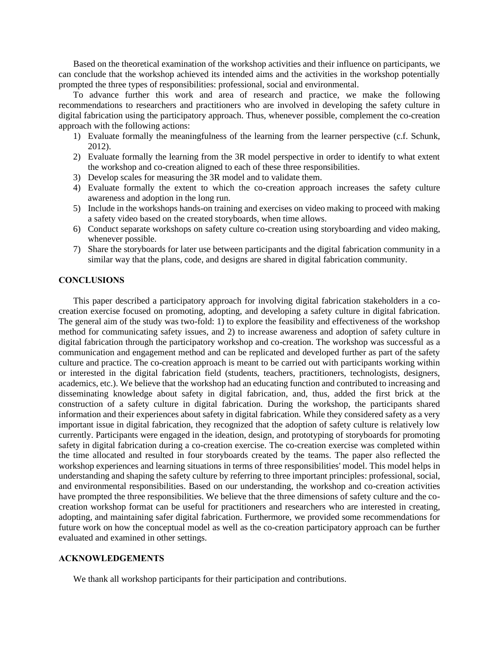Based on the theoretical examination of the workshop activities and their influence on participants, we can conclude that the workshop achieved its intended aims and the activities in the workshop potentially prompted the three types of responsibilities: professional, social and environmental.

To advance further this work and area of research and practice, we make the following recommendations to researchers and practitioners who are involved in developing the safety culture in digital fabrication using the participatory approach. Thus, whenever possible, complement the co-creation approach with the following actions:

- 1) Evaluate formally the meaningfulness of the learning from the learner perspective (c.f. Schunk, 2012).
- 2) Evaluate formally the learning from the 3R model perspective in order to identify to what extent the workshop and co-creation aligned to each of these three responsibilities.
- 3) Develop scales for measuring the 3R model and to validate them.
- 4) Evaluate formally the extent to which the co-creation approach increases the safety culture awareness and adoption in the long run.
- 5) Include in the workshops hands-on training and exercises on video making to proceed with making a safety video based on the created storyboards, when time allows.
- 6) Conduct separate workshops on safety culture co-creation using storyboarding and video making, whenever possible.
- 7) Share the storyboards for later use between participants and the digital fabrication community in a similar way that the plans, code, and designs are shared in digital fabrication community.

# **CONCLUSIONS**

This paper described a participatory approach for involving digital fabrication stakeholders in a cocreation exercise focused on promoting, adopting, and developing a safety culture in digital fabrication. The general aim of the study was two-fold: 1) to explore the feasibility and effectiveness of the workshop method for communicating safety issues, and 2) to increase awareness and adoption of safety culture in digital fabrication through the participatory workshop and co-creation. The workshop was successful as a communication and engagement method and can be replicated and developed further as part of the safety culture and practice. The co-creation approach is meant to be carried out with participants working within or interested in the digital fabrication field (students, teachers, practitioners, technologists, designers, academics, etc.). We believe that the workshop had an educating function and contributed to increasing and disseminating knowledge about safety in digital fabrication, and, thus, added the first brick at the construction of a safety culture in digital fabrication. During the workshop, the participants shared information and their experiences about safety in digital fabrication. While they considered safety as a very important issue in digital fabrication, they recognized that the adoption of safety culture is relatively low currently. Participants were engaged in the ideation, design, and prototyping of storyboards for promoting safety in digital fabrication during a co-creation exercise. The co-creation exercise was completed within the time allocated and resulted in four storyboards created by the teams. The paper also reflected the workshop experiences and learning situations in terms of three responsibilities' model. This model helps in understanding and shaping the safety culture by referring to three important principles: professional, social, and environmental responsibilities. Based on our understanding, the workshop and co-creation activities have prompted the three responsibilities. We believe that the three dimensions of safety culture and the cocreation workshop format can be useful for practitioners and researchers who are interested in creating, adopting, and maintaining safer digital fabrication. Furthermore, we provided some recommendations for future work on how the conceptual model as well as the co-creation participatory approach can be further evaluated and examined in other settings.

# **ACKNOWLEDGEMENTS**

We thank all workshop participants for their participation and contributions.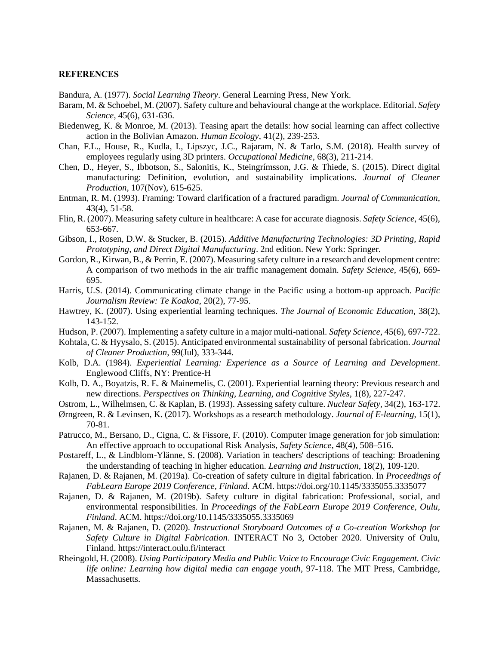### **REFERENCES**

Bandura, A. (1977). *Social Learning Theory*. General Learning Press, New York.

- Baram, M. & Schoebel, M. (2007). Safety culture and behavioural change at the workplace. Editorial. *Safety Science*, 45(6), 631-636.
- Biedenweg, K. & Monroe, M. (2013). Teasing apart the details: how social learning can affect collective action in the Bolivian Amazon. *Human Ecology*, 41(2), 239-253.
- Chan, F.L., House, R., Kudla, I., Lipszyc, J.C., Rajaram, N. & Tarlo, S.M. (2018). Health survey of employees regularly using 3D printers. *Occupational Medicine*, 68(3), 211-214.
- Chen, D., Heyer, S., Ibbotson, S., Salonitis, K., Steingrímsson, J.G. & Thiede, S. (2015). Direct digital manufacturing: Definition, evolution, and sustainability implications. *Journal of Cleaner Production*, 107(Nov), 615-625.
- Entman, R. M. (1993). Framing: Toward clarification of a fractured paradigm. *Journal of Communication,*  43(4), 51-58.
- Flin, R. (2007). Measuring safety culture in healthcare: A case for accurate diagnosis. *Safety Science*, 45(6), 653-667.
- Gibson, I., Rosen, D.W. & Stucker, B. (2015). *Additive Manufacturing Technologies: 3D Printing, Rapid Prototyping, and Direct Digital Manufacturing*. 2nd edition. New York: Springer.
- Gordon, R., Kirwan, B., & Perrin, E. (2007). Measuring safety culture in a research and development centre: A comparison of two methods in the air traffic management domain. *Safety Science*, 45(6), 669- 695.
- Harris, U.S. (2014). Communicating climate change in the Pacific using a bottom-up approach. *Pacific Journalism Review: Te Koakoa*, 20(2), 77-95.
- Hawtrey, K. (2007). Using experiential learning techniques. *The Journal of Economic Education,* 38(2), 143-152.
- Hudson, P. (2007). Implementing a safety culture in a major multi-national. *Safety Science*, 45(6), 697-722.
- Kohtala, C. & Hyysalo, S. (2015). Anticipated environmental sustainability of personal fabrication. *Journal of Cleaner Production,* 99(Jul), 333-344.
- Kolb, D.A. (1984). *Experiential Learning: Experience as a Source of Learning and Development*. Englewood Cliffs, NY: Prentice-H
- Kolb, D. A., Boyatzis, R. E. & Mainemelis, C. (2001). Experiential learning theory: Previous research and new directions. *Perspectives on Thinking, Learning, and Cognitive Styles*, 1(8), 227-247.
- Ostrom, L., Wilhelmsen, C. & Kaplan, B. (1993). Assessing safety culture. *Nuclear Safety*, 34(2), 163-172.
- Ørngreen, R. & Levinsen, K. (2017). Workshops as a research methodology. *Journal of E-learning*, 15(1), 70-81.
- Patrucco, M., Bersano, D., Cigna, C. & Fissore, F. (2010). Computer image generation for job simulation: An effective approach to occupational Risk Analysis, *Safety Science*, 48(4), 508–516.
- Postareff, L., & Lindblom-Ylänne, S. (2008). Variation in teachers' descriptions of teaching: Broadening the understanding of teaching in higher education. *Learning and Instruction*, 18(2), 109-120.
- Rajanen, D. & Rajanen, M. (2019a). Co-creation of safety culture in digital fabrication. In *Proceedings of FabLearn Europe 2019 Conference, Finland*. ACM. https://doi.org/10.1145/3335055.3335077
- Rajanen, D. & Rajanen, M. (2019b). Safety culture in digital fabrication: Professional, social, and environmental responsibilities. In *Proceedings of the FabLearn Europe 2019 Conference, Oulu, Finland*. ACM. https://doi.org/10.1145/3335055.3335069
- Rajanen, M. & Rajanen, D. (2020). *Instructional Storyboard Outcomes of a Co-creation Workshop for Safety Culture in Digital Fabrication*. INTERACT No 3, October 2020. University of Oulu, Finland. https://interact.oulu.fi/interact
- Rheingold, H. (2008). *Using Participatory Media and Public Voice to Encourage Civic Engagement. Civic life online: Learning how digital media can engage youth*, 97-118. The MIT Press, Cambridge, Massachusetts.